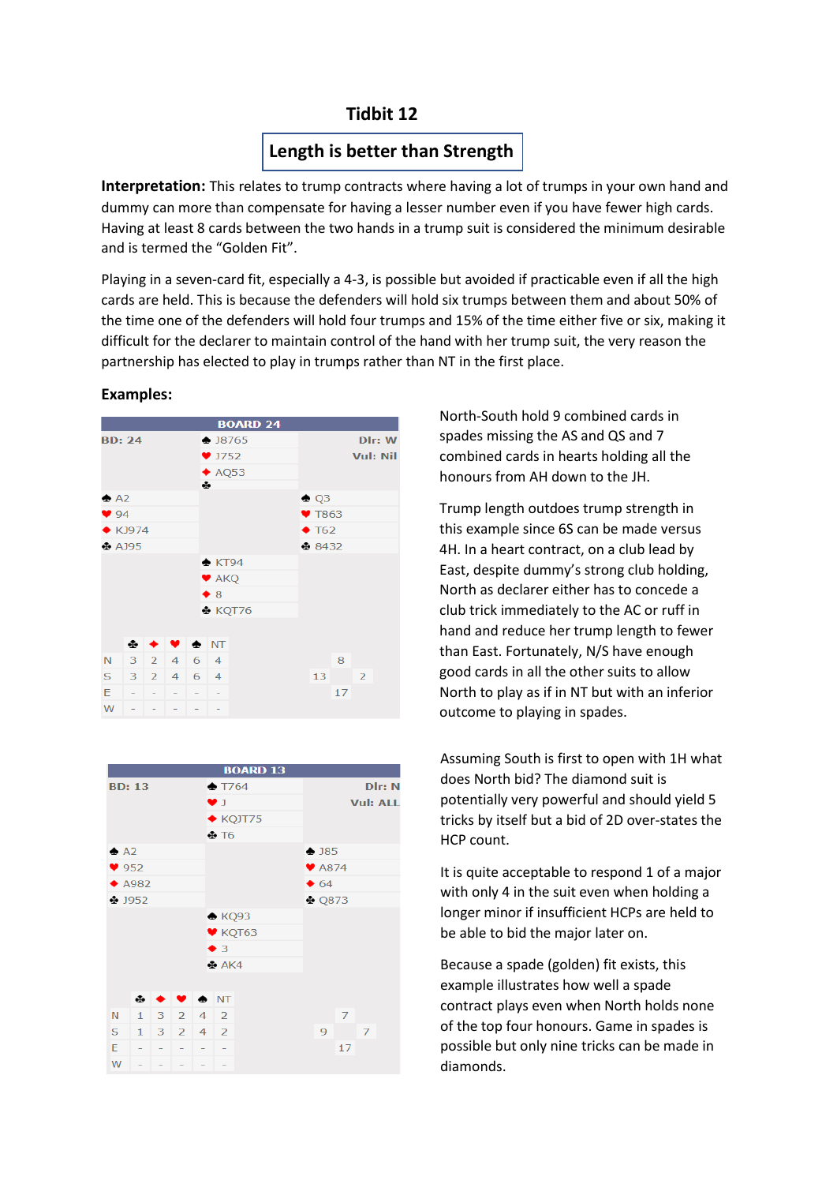## **Tidbit 12**

# **Length is better than Strength**

**Interpretation:** This relates to trump contracts where having a lot of trumps in your own hand and dummy can more than compensate for having a lesser number even if you have fewer high cards. Having at least 8 cards between the two hands in a trump suit is considered the minimum desirable and is termed the "Golden Fit".

Playing in a seven-card fit, especially a 4-3, is possible but avoided if practicable even if all the high cards are held. This is because the defenders will hold six trumps between them and about 50% of the time one of the defenders will hold four trumps and 15% of the time either five or six, making it difficult for the declarer to maintain control of the hand with her trump suit, the very reason the partnership has elected to play in trumps rather than NT in the first place.



## **Examples:**



North-South hold 9 combined cards in spades missing the AS and QS and 7 combined cards in hearts holding all the honours from AH down to the JH.

Trump length outdoes trump strength in this example since 6S can be made versus 4H. In a heart contract, on a club lead by East, despite dummy's strong club holding, North as declarer either has to concede a club trick immediately to the AC or ruff in hand and reduce her trump length to fewer than East. Fortunately, N/S have enough good cards in all the other suits to allow North to play as if in NT but with an inferior outcome to playing in spades.

Assuming South is first to open with 1H what does North bid? The diamond suit is potentially very powerful and should yield 5 tricks by itself but a bid of 2D over-states the HCP count.

It is quite acceptable to respond 1 of a major with only 4 in the suit even when holding a longer minor if insufficient HCPs are held to be able to bid the major later on.

Because a spade (golden) fit exists, this example illustrates how well a spade contract plays even when North holds none of the top four honours. Game in spades is possible but only nine tricks can be made in diamonds.